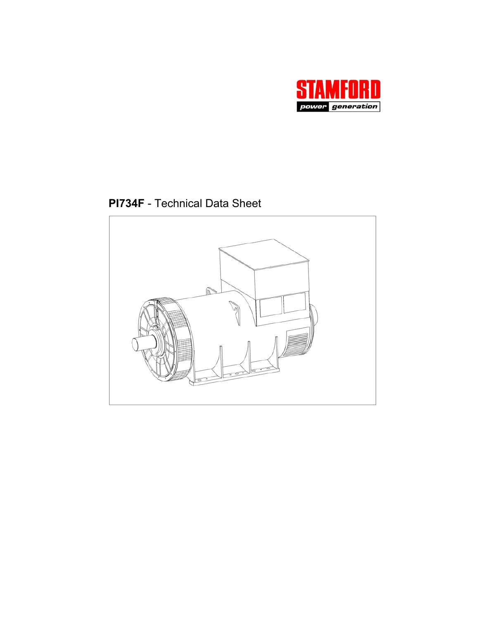

**PI734F** - Technical Data Sheet

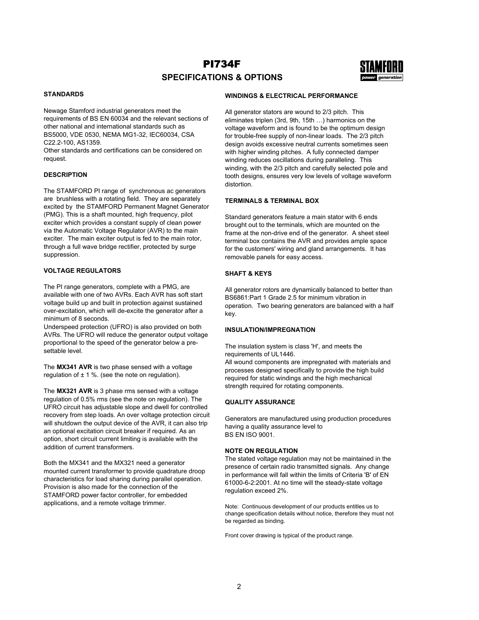# PI734F **SPECIFICATIONS & OPTIONS**



### **STANDARDS**

Newage Stamford industrial generators meet the requirements of BS EN 60034 and the relevant sections of other national and international standards such as BS5000, VDE 0530, NEMA MG1-32, IEC60034, CSA C22.2-100, AS1359.

Other standards and certifications can be considered on request.

#### **DESCRIPTION**

The STAMFORD PI range of synchronous ac generators are brushless with a rotating field. They are separately excited by the STAMFORD Permanent Magnet Generator (PMG). This is a shaft mounted, high frequency, pilot exciter which provides a constant supply of clean power via the Automatic Voltage Regulator (AVR) to the main exciter. The main exciter output is fed to the main rotor, through a full wave bridge rectifier, protected by surge suppression.

### **VOLTAGE REGULATORS**

The PI range generators, complete with a PMG, are available with one of two AVRs. Each AVR has soft start voltage build up and built in protection against sustained over-excitation, which will de-excite the generator after a minimum of 8 seconds.

Underspeed protection (UFRO) is also provided on both AVRs. The UFRO will reduce the generator output voltage proportional to the speed of the generator below a presettable level.

The **MX341 AVR** is two phase sensed with a voltage regulation of  $\pm$  1 %. (see the note on regulation).

The **MX321 AVR** is 3 phase rms sensed with a voltage regulation of 0.5% rms (see the note on regulation). The UFRO circuit has adjustable slope and dwell for controlled recovery from step loads. An over voltage protection circuit will shutdown the output device of the AVR, it can also trip an optional excitation circuit breaker if required. As an option, short circuit current limiting is available with the addition of current transformers.

Both the MX341 and the MX321 need a generator mounted current transformer to provide quadrature droop characteristics for load sharing during parallel operation. Provision is also made for the connection of the STAMFORD power factor controller, for embedded applications, and a remote voltage trimmer.

#### **WINDINGS & ELECTRICAL PERFORMANCE**

All generator stators are wound to 2/3 pitch. This eliminates triplen (3rd, 9th, 15th …) harmonics on the voltage waveform and is found to be the optimum design for trouble-free supply of non-linear loads. The 2/3 pitch design avoids excessive neutral currents sometimes seen with higher winding pitches. A fully connected damper winding reduces oscillations during paralleling. This winding, with the 2/3 pitch and carefully selected pole and tooth designs, ensures very low levels of voltage waveform distortion.

#### **TERMINALS & TERMINAL BOX**

Standard generators feature a main stator with 6 ends brought out to the terminals, which are mounted on the frame at the non-drive end of the generator. A sheet steel terminal box contains the AVR and provides ample space for the customers' wiring and gland arrangements. It has removable panels for easy access.

#### **SHAFT & KEYS**

All generator rotors are dynamically balanced to better than BS6861:Part 1 Grade 2.5 for minimum vibration in operation. Two bearing generators are balanced with a half key.

#### **INSULATION/IMPREGNATION**

The insulation system is class 'H', and meets the requirements of UL1446. All wound components are impregnated with materials and processes designed specifically to provide the high build required for static windings and the high mechanical strength required for rotating components.

#### **QUALITY ASSURANCE**

Generators are manufactured using production procedures having a quality assurance level to BS EN ISO 9001.

#### **NOTE ON REGULATION**

The stated voltage regulation may not be maintained in the presence of certain radio transmitted signals. Any change in performance will fall within the limits of Criteria 'B' of EN 61000-6-2:2001. At no time will the steady-state voltage regulation exceed 2%.

Note: Continuous development of our products entitles us to change specification details without notice, therefore they must not be regarded as binding.

Front cover drawing is typical of the product range.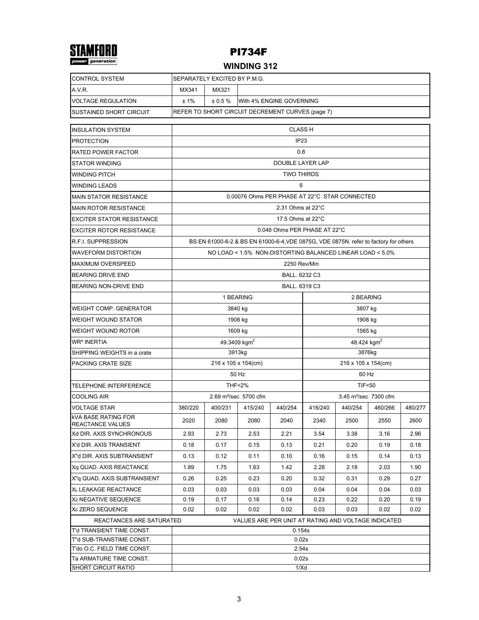

## **WINDING 312**

| <b>CONTROL SYSTEM</b>                                   | SEPARATELY EXCITED BY P.M.G.                                 |                                                                                                                                                   |                                                     |                   |                                   |         |         |         |  |  |  |  |
|---------------------------------------------------------|--------------------------------------------------------------|---------------------------------------------------------------------------------------------------------------------------------------------------|-----------------------------------------------------|-------------------|-----------------------------------|---------|---------|---------|--|--|--|--|
| A.V.R.                                                  | MX341                                                        | MX321                                                                                                                                             |                                                     |                   |                                   |         |         |         |  |  |  |  |
| <b>VOLTAGE REGULATION</b>                               | ±1%<br>± 0.5%<br>With 4% ENGINE GOVERNING                    |                                                                                                                                                   |                                                     |                   |                                   |         |         |         |  |  |  |  |
| SUSTAINED SHORT CIRCUIT                                 |                                                              |                                                                                                                                                   | REFER TO SHORT CIRCUIT DECREMENT CURVES (page 7)    |                   |                                   |         |         |         |  |  |  |  |
| <b>INSULATION SYSTEM</b>                                | <b>CLASS H</b>                                               |                                                                                                                                                   |                                                     |                   |                                   |         |         |         |  |  |  |  |
| <b>PROTECTION</b>                                       |                                                              | IP <sub>23</sub>                                                                                                                                  |                                                     |                   |                                   |         |         |         |  |  |  |  |
| <b>RATED POWER FACTOR</b>                               |                                                              | 0.8                                                                                                                                               |                                                     |                   |                                   |         |         |         |  |  |  |  |
| <b>STATOR WINDING</b>                                   | DOUBLE LAYER LAP                                             |                                                                                                                                                   |                                                     |                   |                                   |         |         |         |  |  |  |  |
| <b>WINDING PITCH</b>                                    | <b>TWO THIRDS</b>                                            |                                                                                                                                                   |                                                     |                   |                                   |         |         |         |  |  |  |  |
| <b>WINDING LEADS</b>                                    | 6                                                            |                                                                                                                                                   |                                                     |                   |                                   |         |         |         |  |  |  |  |
| <b>MAIN STATOR RESISTANCE</b>                           |                                                              | 0.00076 Ohms PER PHASE AT 22°C STAR CONNECTED                                                                                                     |                                                     |                   |                                   |         |         |         |  |  |  |  |
| <b>MAIN ROTOR RESISTANCE</b>                            |                                                              |                                                                                                                                                   |                                                     | 2.31 Ohms at 22°C |                                   |         |         |         |  |  |  |  |
| <b>EXCITER STATOR RESISTANCE</b>                        |                                                              |                                                                                                                                                   |                                                     | 17.5 Ohms at 22°C |                                   |         |         |         |  |  |  |  |
| <b>EXCITER ROTOR RESISTANCE</b>                         |                                                              |                                                                                                                                                   |                                                     |                   | 0.048 Ohms PER PHASE AT 22°C      |         |         |         |  |  |  |  |
| R.F.I. SUPPRESSION                                      |                                                              |                                                                                                                                                   |                                                     |                   |                                   |         |         |         |  |  |  |  |
| <b>WAVEFORM DISTORTION</b>                              |                                                              | BS EN 61000-6-2 & BS EN 61000-6-4, VDE 0875G, VDE 0875N. refer to factory for others<br>NO LOAD < 1.5% NON-DISTORTING BALANCED LINEAR LOAD < 5.0% |                                                     |                   |                                   |         |         |         |  |  |  |  |
| <b>MAXIMUM OVERSPEED</b>                                |                                                              |                                                                                                                                                   |                                                     | 2250 Rev/Min      |                                   |         |         |         |  |  |  |  |
| <b>BEARING DRIVE END</b>                                |                                                              |                                                                                                                                                   |                                                     | BALL. 6232 C3     |                                   |         |         |         |  |  |  |  |
| <b>BEARING NON-DRIVE END</b>                            |                                                              |                                                                                                                                                   |                                                     | BALL. 6319 C3     |                                   |         |         |         |  |  |  |  |
|                                                         |                                                              |                                                                                                                                                   | 1 BEARING                                           |                   | 2 BEARING                         |         |         |         |  |  |  |  |
| <b>WEIGHT COMP. GENERATOR</b>                           |                                                              |                                                                                                                                                   | 3840 kg                                             |                   | 3807 kg                           |         |         |         |  |  |  |  |
| <b>WEIGHT WOUND STATOR</b>                              |                                                              |                                                                                                                                                   | 1908 kg                                             |                   | 1908 kg                           |         |         |         |  |  |  |  |
| WEIGHT WOUND ROTOR                                      |                                                              |                                                                                                                                                   | 1609 kg                                             |                   | 1565 kg                           |         |         |         |  |  |  |  |
| <b>WR<sup>2</sup> INERTIA</b>                           |                                                              |                                                                                                                                                   | 49.3409 kgm <sup>2</sup>                            |                   | 48.424 kgm <sup>2</sup>           |         |         |         |  |  |  |  |
| SHIPPING WEIGHTS in a crate                             |                                                              |                                                                                                                                                   | 3913kg                                              |                   | 3876kg                            |         |         |         |  |  |  |  |
| PACKING CRATE SIZE                                      |                                                              | 216 x 105 x 154(cm)<br>216 x 105 x 154(cm)                                                                                                        |                                                     |                   |                                   |         |         |         |  |  |  |  |
|                                                         | 50 Hz<br>60 Hz                                               |                                                                                                                                                   |                                                     |                   |                                   |         |         |         |  |  |  |  |
| <b>TELEPHONE INTERFERENCE</b>                           |                                                              |                                                                                                                                                   | <b>THF&lt;2%</b>                                    |                   | <b>TIF&lt;50</b>                  |         |         |         |  |  |  |  |
| <b>COOLING AIR</b>                                      |                                                              |                                                                                                                                                   | 2.69 m <sup>3</sup> /sec 5700 cfm                   |                   | 3.45 m <sup>3</sup> /sec 7300 cfm |         |         |         |  |  |  |  |
| VOLTAGE STAR                                            | 380/220                                                      | 400/231                                                                                                                                           | 415/240                                             | 440/254           | 416/240                           | 440/254 | 460/266 | 480/277 |  |  |  |  |
| <b>kVA BASE RATING FOR</b><br>REACTANCE VALUES          | 2020                                                         | 2080                                                                                                                                              | 2080                                                | 2040              | 2340                              | 2500    | 2550    | 2600    |  |  |  |  |
| Xd DIR. AXIS SYNCHRONOUS                                | 2.93                                                         | 2.73                                                                                                                                              | 2.53                                                | 2.21              | 3.54                              | 3.38    | 3.16    | 2.96    |  |  |  |  |
| X'd DIR. AXIS TRANSIENT                                 | 0.18                                                         | 0.17                                                                                                                                              | 0.15                                                | 0.13              | 0.21                              | 0.20    | 0.19    | 0.18    |  |  |  |  |
| X"d DIR. AXIS SUBTRANSIENT                              | 0.13                                                         | 0.12                                                                                                                                              | 0.11                                                | 0.10              | 0.16                              | 0.15    | 0.14    | 0.13    |  |  |  |  |
| Xq QUAD. AXIS REACTANCE                                 | 1.89                                                         | 1.75                                                                                                                                              | 1.63                                                | 1.42              | 2.28                              | 2.18    | 2.03    | 1.90    |  |  |  |  |
| X"g QUAD. AXIS SUBTRANSIENT                             | 0.26                                                         | 0.25                                                                                                                                              | 0.23                                                | 0.20              | 0.32                              | 0.31    | 0.29    | 0.27    |  |  |  |  |
| XL LEAKAGE REACTANCE                                    | 0.03                                                         | 0.03                                                                                                                                              | 0.03                                                | 0.03              | 0.04                              | 0.04    | 0.04    | 0.03    |  |  |  |  |
| X <sub>2</sub> NEGATIVE SEQUENCE                        | 0.19                                                         | 0.17                                                                                                                                              | 0.16                                                | 0.14              | 0.23                              | 0.22    | 0.20    | 0.19    |  |  |  |  |
| X <sub>0</sub> ZERO SEQUENCE                            | 0.02<br>0.02<br>0.02<br>0.02<br>0.02<br>0.03<br>0.03<br>0.02 |                                                                                                                                                   |                                                     |                   |                                   |         |         |         |  |  |  |  |
| REACTANCES ARE SATURATED                                |                                                              |                                                                                                                                                   | VALUES ARE PER UNIT AT RATING AND VOLTAGE INDICATED |                   |                                   |         |         |         |  |  |  |  |
| T'd TRANSIENT TIME CONST.                               | 0.154s                                                       |                                                                                                                                                   |                                                     |                   |                                   |         |         |         |  |  |  |  |
| T"d SUB-TRANSTIME CONST.<br>T'do O.C. FIELD TIME CONST. | 0.02s<br>2.54s                                               |                                                                                                                                                   |                                                     |                   |                                   |         |         |         |  |  |  |  |
| Ta ARMATURE TIME CONST.                                 | 0.02s                                                        |                                                                                                                                                   |                                                     |                   |                                   |         |         |         |  |  |  |  |
| <b>SHORT CIRCUIT RATIO</b>                              | 1/Xd                                                         |                                                                                                                                                   |                                                     |                   |                                   |         |         |         |  |  |  |  |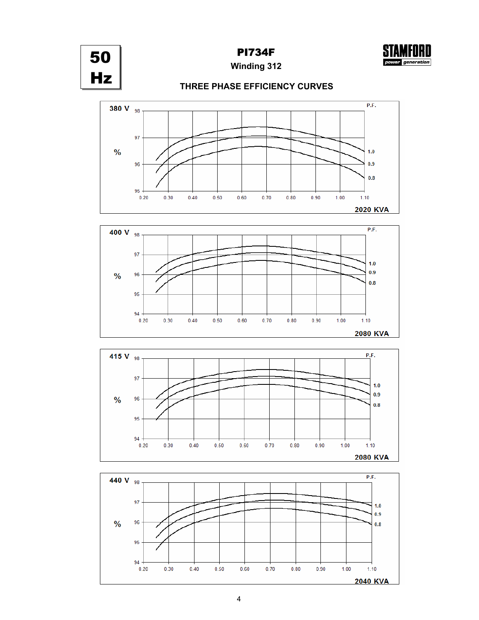



**Winding 312**

## **THREE PHASE EFFICIENCY CURVES**







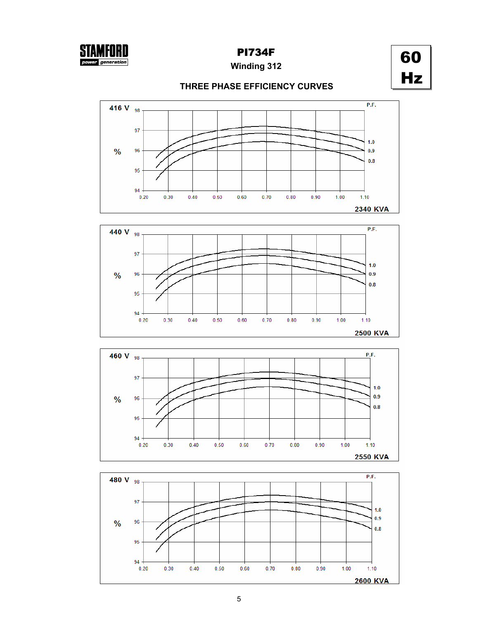

# **Winding 312**

# 60 Hz

## **THREE PHASE EFFICIENCY CURVES**







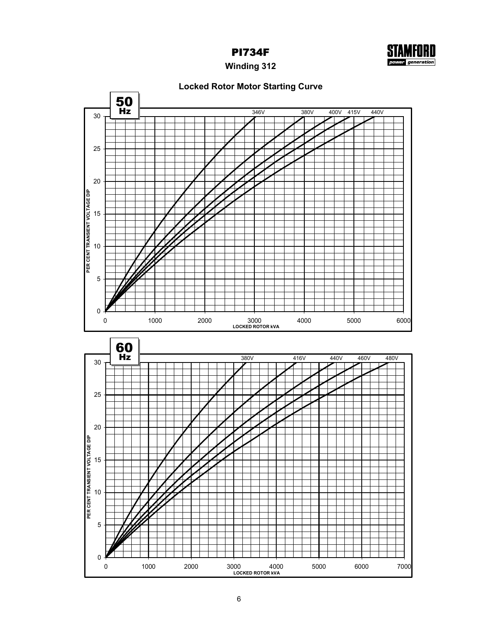

**Winding 312**

## **Locked Rotor Motor Starting Curve**

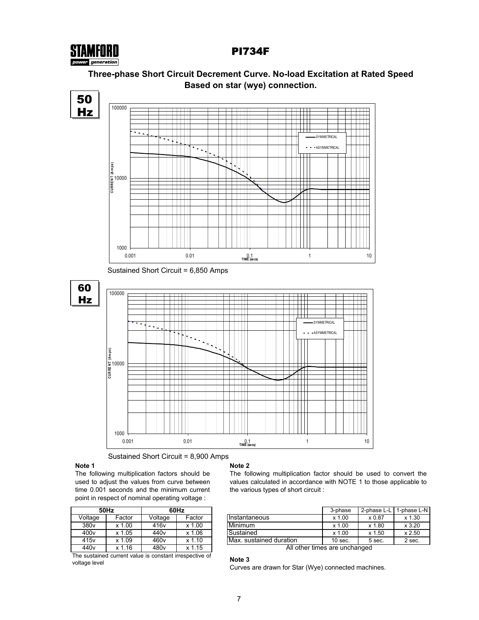



# **Three-phase Short Circuit Decrement Curve. No-load Excitation at Rated Speed**



Sustained Short Circuit = 6,850 Amps



Sustained Short Circuit = 8,900 Amps

## **Note 1**

The following multiplication factors should be used to adjust the values from curve between time 0.001 seconds and the minimum current point in respect of nominal operating voltage :

|                  | 50Hz   | 60Hz             |        |  |  |  |  |  |
|------------------|--------|------------------|--------|--|--|--|--|--|
| Voltage          | Factor | Voltage          | Factor |  |  |  |  |  |
| 380 <sub>v</sub> | x 1.00 | 416 <sub>v</sub> | x 1.00 |  |  |  |  |  |
| 400 <sub>v</sub> | x 1.05 | 440 <sub>v</sub> | x 1.06 |  |  |  |  |  |
| 415 <sub>v</sub> | x 1.09 | 460 <sub>v</sub> | x 1.10 |  |  |  |  |  |
| 440 <sub>v</sub> | x 1.16 | 480v             | x 1.15 |  |  |  |  |  |

The sustained current value is constant irrespective of voltage level

#### **Note 2**

The following multiplication factor should be used to convert the values calculated in accordance with NOTE 1 to those applicable to the various types of short circuit :

|                  | 50Hz       |                  | 60Hz              |                          | 3-phase   | 2-phase L-L | 1-phase L-N |
|------------------|------------|------------------|-------------------|--------------------------|-----------|-------------|-------------|
| Voltage          | Factor     | Voltage          | Factor            | IInstantaneous           | x 1.00    | x 0.87      |             |
| 380 <sub>v</sub> | .00<br>x 1 | 416 <sub>v</sub> | .00<br><b>Y</b> 1 | Minimum                  | $x$ 1.00  | x 1.80      |             |
| 400v             | .05<br>x 1 | 440 <sub>v</sub> | .06<br>x 1        | Sustained                | x 1.00    | x 1.50      | x 2.50      |
| 415v             | .09<br>x.  | 460v             | 10<br>x 1         | IMax. sustained duration | $10$ sec. | 5 sec.      |             |

All other times are unchanged

#### **Note 3**

Curves are drawn for Star (Wye) connected machines.